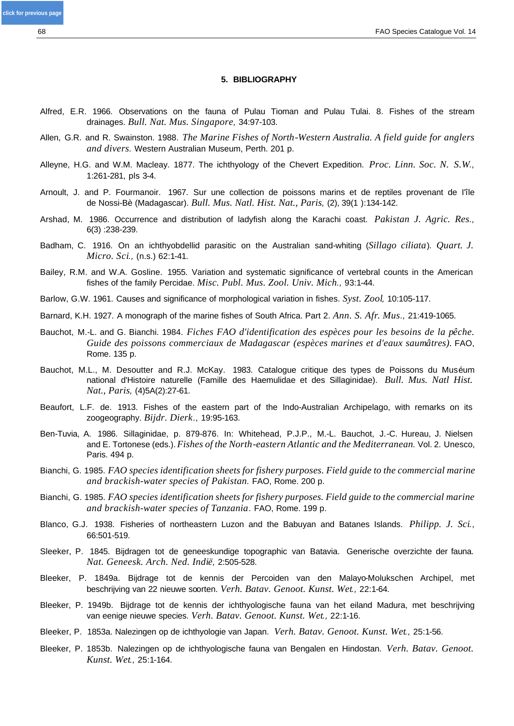## **5. BIBLIOGRAPHY**

- Alfred, E.R. 1966. Observations on the fauna of Pulau Tioman and Pulau Tulai. 8. Fishes of the stream drainages. *Bull. Nat. Mus. Singapore,* 34:97-103.
- Allen, G.R. and R. Swainston. 1988. *The Marine Fishes of North-Western Australia. A field guide for anglers and divers.* Western Australian Museum, Perth. 201 p.
- Alleyne, H.G. and W.M. Macleay. 1877. The ichthyology of the Chevert Expedition. *Proc. Linn. Soc. N. S.W.,*  1:261-281, pls 3-4.
- Arnoult, J. and P. Fourmanoir. 1967. Sur une collection de poissons marins et de reptiles provenant de I'île de Nossi-Bè (Madagascar). *Bull. Mus. Natl. Hist. Nat., Paris,* (2), 39(1 ):134-142.
- Arshad, M. 1986. Occurrence and distribution of ladyfish along the Karachi coast. *Pakistan J. Agric. Res.,*  6(3) :238-239.
- Badham, C. 1916. On an ichthyobdellid parasitic on the Australian sand-whiting (*Sillago ciliata*). *Quart. J. Micro. Sci.,* (n.s.) 62:1-41.
- Bailey, R.M. and W.A. Gosline. 1955. Variation and systematic significance of vertebral counts in the American fishes of the family Percidae. *Misc. Publ. Mus. Zool. Univ. Mich.,* 93:1-44.
- Barlow, G.W. 1961. Causes and significance of morphological variation in fishes. *Syst. Zool,* 10:105-117.
- Barnard, K.H. 1927. A monograph of the marine fishes of South Africa. Part 2. *Ann. S. Afr. Mus.,* 21:419-1065.
- Bauchot, M.-L. and G. Bianchi. 1984. *Fiches FAO d'identification des espèces pour les besoins de la pêche. Guide des poissons commerciaux de Madagascar (espèces marines et d'eaux saumâtres).* FAO, Rome. 135 p.
- Bauchot, M.L., M. Desoutter and R.J. McKay. 1983. Catalogue critique des types de Poissons du Muséum national d'Histoire naturelle (Famille des Haemulidae et des Sillaginidae). *Bull. Mus. Natl Hist. Nat., Paris,* (4)5A(2):27-61.
- Beaufort, L.F. de. 1913. Fishes of the eastern part of the Indo-Australian Archipelago, with remarks on its zoogeography. *Bijdr. Dierk.,* 19:95-163.
- Ben-Tuvia, A. 1986. Sillaginidae, p. 879-876. In: Whitehead, P.J.P., M.-L. Bauchot, J.-C. Hureau, J. Nielsen and E. Tortonese (eds.). *Fishes of the North-eastern Atlantic and the Mediterranean.* Vol. 2. Unesco, Paris. 494 p.
- Bianchi, G. 1985. *FAO species identification sheets for fishery purposes. Field guide to the commercial marine and brackish-water species of Pakistan.* FAO, Rome. 200 p.
- Bianchi, G. 1985. *FAO species identification sheets for fishery purposes. Field guide to the commercial marine and brackish-water species of Tanzania.* FAO, Rome. 199 p.
- Blanco, G.J. 1938. Fisheries of northeastern Luzon and the Babuyan and Batanes Islands. *Philipp. J. Sci.*, 66:501-519.
- Sleeker, P. 1845. Bijdragen tot de geneeskundige topographic van Batavia. Generische overzichte der fauna. *Nat. Geneesk. Arch. Ned. Indië,* 2:505-528.
- Bleeker, P. 1849a. Bijdrage tot de kennis der Percoiden van den Malayo-Molukschen Archipel, met beschrijving van 22 nieuwe soorten. *Verh. Batav. Genoot. Kunst. Wet.,* 22:1-64.
- Bleeker, P. 1949b. Bijdrage tot de kennis der ichthyologische fauna van het eiland Madura, met beschrijving van eenige nieuwe species. *Verh. Batav. Genoot. Kunst. Wet.,* 22:1-16.
- Bleeker, P. 1853a. Nalezingen op de ichthyologie van Japan. *Verh. Batav. Genoot. Kunst. Wet.,* 25:1-56.
- Bleeker, P. 1853b. Nalezingen op de ichthyologische fauna van Bengalen en Hindostan. *Verh. Batav. Genoot. Kunst. Wet.,* 25:1-164.

**[click for previous page](#page-1-0)**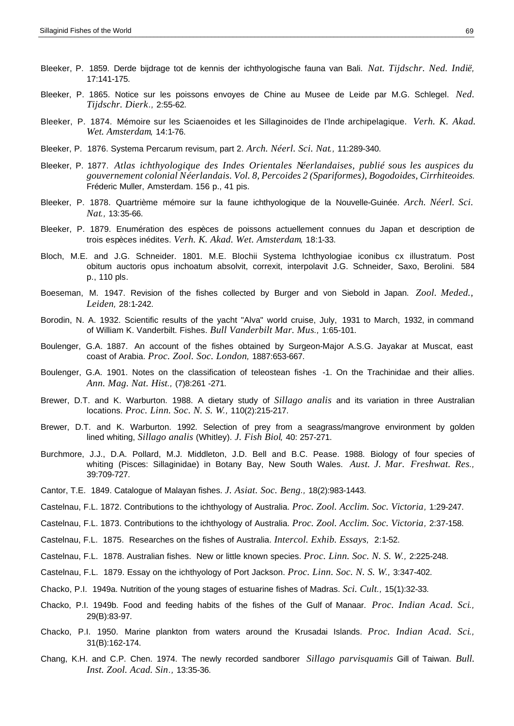- <span id="page-1-0"></span>Bleeker, P. 1859. Derde bijdrage tot de kennis der ichthyologische fauna van Bali. *Nat. Tijdschr. Ned. Indië,*  17:141-175.
- Bleeker, P. 1865. Notice sur les poissons envoyes de Chine au Musee de Leide par M.G. Schlegel. *Ned. Tijdschr. Dierk.,* 2:55-62.
- Bleeker, P. 1874. Mémoire sur les Sciaenoides et les Sillaginoides de I'lnde archipelagique. *Verh. K. Akad. Wet. Amsterdam,* 14:1-76.
- Bleeker, P. 1876. Systema Percarum revisum, part 2. *Arch. Néerl. Sci. Nat.,* 11:289-340.
- Bleeker, P. 1877. *Atlas ichthyologique des Indes Orientales Néerlandaises, publié sous les auspices du gouvernement colonial Néerlandais. Vol. 8, Percoides 2 (Spariformes), Bogodoides, Cirrhiteoides.*  Fréderic Muller, Amsterdam. 156 p., 41 pis.
- Bleeker, P. 1878. Quartrième mémoire sur la faune ichthyologique de la Nouvelle-Guinée. *Arch. Néerl. Sci. Nat.,* 13:35-66.
- Bleeker, P. 1879. Enumération des espèces de poissons actuellement connues du Japan et description de trois espèces inédites. *Verh. K. Akad. Wet. Amsterdam,* 18:1-33.
- Bloch, M.E. and J.G. Schneider. 1801. M.E. Blochii Systema Ichthyologiae iconibus cx illustratum. Post obitum auctoris opus inchoatum absolvit, correxit, interpolavit J.G. Schneider, Saxo, Berolini. 584 p., 110 pls.
- Boeseman, M. 1947. Revision of the fishes collected by Burger and von Siebold in Japan. *Zool. Meded., Leiden,* 28:1-242.
- Borodin, N. A. 1932. Scientific results of the yacht "Alva" world cruise, July, 1931 to March, 1932, in command of William K. Vanderbilt. Fishes. *Bull Vanderbilt Mar. Mus.,* 1:65-101.
- Boulenger, G.A. 1887. An account of the fishes obtained by Surgeon-Major A.S.G. Jayakar at Muscat, east coast of Arabia. *Proc. Zool. Soc. London,* 1887:653-667.
- Boulenger, G.A. 1901. Notes on the classification of teleostean fishes -1. On the Trachinidae and their allies. *Ann. Mag. Nat. Hist.,* (7)8:261 -271.
- Brewer, D.T. and K. Warburton. 1988. A dietary study of *Sillago analis* and its variation in three Australian locations. *Proc. Linn. Soc. N. S. W.,* 110(2):215-217.
- Brewer, D.T. and K. Warburton. 1992. Selection of prey from a seagrass/mangrove environment by golden lined whiting, *Sillago analis* (Whitley). *J. Fish Biol,* 40: 257-271.
- Burchmore, J.J., D.A. Pollard, M.J. Middleton, J.D. Bell and B.C. Pease. 1988. Biology of four species of whiting (Pisces: Sillaginidae) in Botany Bay, New South Wales. *Aust. J. Mar. Freshwat. Res.,* 39:709-727.
- Cantor, T.E. 1849. Catalogue of Malayan fishes. *J. Asiat. Soc. Beng.,* 18(2):983-1443.
- Castelnau, F.L. 1872. Contributions to the ichthyology of Australia. *Proc. Zool. Acclim. Soc. Victoria,* 1:29-247.
- Castelnau, F.L. 1873. Contributions to the ichthyology of Australia. *Proc. Zool. Acclim. Soc. Victoria,* 2:37-158.
- Castelnau, F.L. 1875. Researches on the fishes of Australia. *Intercol. Exhib. Essays,* 2:1-52.
- Castelnau, F.L. 1878. Australian fishes. New or little known species. *Proc. Linn. Soc. N. S. W.,* 2:225-248.
- Castelnau, F.L. 1879. Essay on the ichthyology of Port Jackson. *Proc. Linn. Soc. N. S. W.,* 3:347-402.
- Chacko, P.I. 1949a. Nutrition of the young stages of estuarine fishes of Madras. *Sci. Cult.,* 15(1):32-33.
- Chacko, P.I. 1949b. Food and feeding habits of the fishes of the Gulf of Manaar. *Proc. Indian Acad. Sci.,* 29(B):83-97.
- Chacko, P.I. 1950. Marine plankton from waters around the Krusadai Islands. *Proc. Indian Acad. Sci.,*  31(B):162-174.
- Chang, K.H. and C.P. Chen. 1974. The newly recorded sandborer *Sillago parvisquamis* Gill of Taiwan. *Bull. Inst. Zool. Acad. Sin.,* 13:35-36.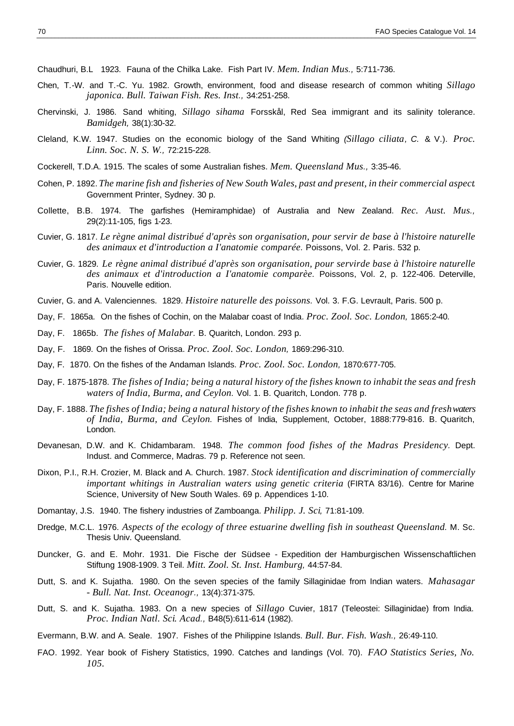Chaudhuri, B.L 1923. Fauna of the Chilka Lake. Fish Part IV. *Mem. Indian Mus.,* 5:711-736.

- Chen, T.-W. and T.-C. Yu. 1982. Growth, environment, food and disease research of common whiting *Sillago japonica. Bull. Taiwan Fish. Res. Inst.,* 34:251-258.
- Chervinski, J. 1986. Sand whiting, *Sillago sihama* Forsskål, Red Sea immigrant and its salinity tolerance. *Bamidgeh,* 38(1):30-32.
- Cleland, K.W. 1947. Studies on the economic biology of the Sand Whiting *(Sillago ciliata, C.* & V.). *Proc. Linn. Soc. N. S. W.,* 72:215-228.
- Cockerell, T.D.A. 1915. The scales of some Australian fishes. *Mem. Queensland Mus.,* 3:35-46.
- Cohen, P. 1892. *The marine fish and fisheries of New South Wales, past and present, in their commercial aspect.*  Government Printer, Sydney. 30 p.
- Collette, B.B. 1974. The garfishes (Hemiramphidae) of Australia and New Zealand. *Rec. Aust. Mus.,*  29(2):11-105, figs 1-23.
- Cuvier, G. 1817. *Le règne animal distribué d'après son organisation, pour servir de base à l'histoire naturelle des animaux et d'introduction a I'anatomie comparée.* Poissons, Vol. 2. Paris. 532 p.
- Cuvier, G. 1829. *Le règne animal distribué d'après son organisation, pour servirde base à l'histoire naturelle des animaux et d'introduction a I'anatomie comparèe.* Poissons, Vol. 2, p. 122-406. Deterville, Paris. Nouvelle edition.
- Cuvier, G. and A. Valenciennes. 1829. *Histoire naturelle des poissons.* Vol. 3. F.G. Levrault, Paris. 500 p.
- Day, F. 1865a. On the fishes of Cochin, on the Malabar coast of India. *Proc. Zool. Soc. London,* 1865:2-40.
- Day, F. 1865b. *The fishes of Malabar.* B. Quaritch, London. 293 p.
- Day, F. 1869. On the fishes of Orissa. *Proc. Zool. Soc. London,* 1869:296-310.
- Day, F. 1870. On the fishes of the Andaman Islands. *Proc. Zool. Soc. London,* 1870:677-705.
- Day, F. 1875-1878. *The fishes of India; being a natural history of the fishes known to inhabit the seas and fresh waters of India, Burma, and Ceylon.* Vol. 1. B. Quaritch, London. 778 p.
- Day, F. 1888. *The fishes of India; being a natural history of the fishes known to inhabit the seas and freshwaters of India, Burma, and Ceylon. Fishes of India, Supplement, October, 1888:779-816. B. Quaritch,* London.
- Devanesan, D.W. and K. Chidambaram. 1948. *The common food fishes of the Madras Presidency.* Dept. Indust. and Commerce, Madras. 79 p. Reference not seen.
- Dixon, P.I., R.H. Crozier, M. Black and A. Church. 1987. *Stock identification and discrimination of commercially important whitings in Australian waters using genetic criteria* (FIRTA 83/16). Centre for Marine Science, University of New South Wales. 69 p. Appendices 1-10.
- Domantay, J.S. 1940. The fishery industries of Zamboanga. *Philipp. J. Sci,* 71:81-109.
- Dredge, M.C.L. 1976. *Aspects of the ecology of three estuarine dwelling fish in southeast Queensland.* M. Sc. Thesis Univ. Queensland.
- Duncker, G. and E. Mohr. 1931. Die Fische der Südsee Expedition der Hamburgischen Wissenschaftlichen Stiftung 1908-1909. 3 Teil. *Mitt. Zool. St. Inst. Hamburg,* 44:57-84.
- Dutt, S. and K. Sujatha. 1980. On the seven species of the family Sillaginidae from Indian waters. *Mahasagar - Bull. Nat. Inst. Oceanogr.,* 13(4):371-375.
- Dutt, S. and K. Sujatha. 1983. On a new species of *Sillago* Cuvier, 1817 (Teleostei: Sillaginidae) from India. *Proc. Indian Natl. Sci. Acad.,* B48(5):611-614 (1982).
- Evermann, B.W. and A. Seale. 1907. Fishes of the Philippine Islands. *Bull. Bur. Fish. Wash.,* 26:49-110.
- FAO. 1992. Year book of Fishery Statistics, 1990. Catches and landings (Vol. 70). *FAO Statistics Series, No. 105.*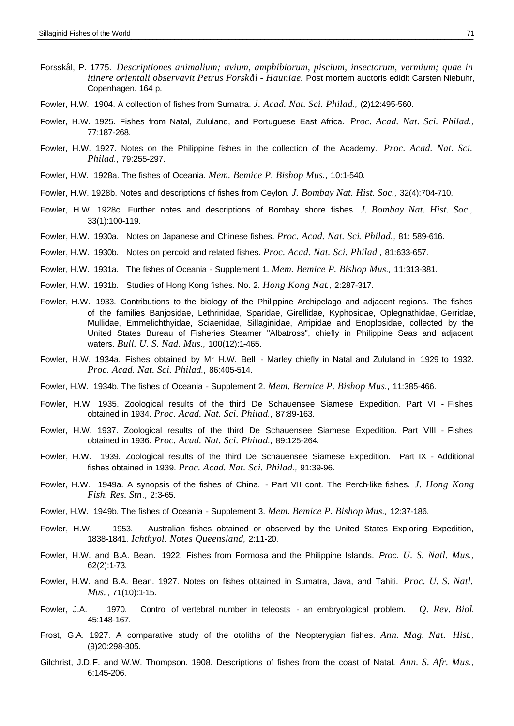- Forsskål, P. 1775. *Descriptiones animalium; avium, amphibiorum, piscium, insectorum, vermium; quae in itinere orientali observavit Petrus Forskål - Hauniae.* Post mortem auctoris edidit Carsten Niebuhr, Copenhagen. 164 p.
- Fowler, H.W. 1904. A collection of fishes from Sumatra. *J. Acad. Nat. Sci. Philad.,* (2)12:495-560.
- Fowler, H.W. 1925. Fishes from Natal, Zululand, and Portuguese East Africa. *Proc. Acad. Nat. Sci. Philad.,*  77:187-268.
- Fowler, H.W. 1927. Notes on the Philippine fishes in the collection of the Academy. *Proc. Acad. Nat. Sci. Philad.,* 79:255-297.
- Fowler, H.W. 1928a. The fishes of Oceania. *Mem. Bemice P. Bishop Mus.,* 10:1-540.
- Fowler, H.W. 1928b. Notes and descriptions of fishes from Ceylon. *J. Bombay Nat. Hist. Soc.,* 32(4):704-710.
- Fowler, H.W. 1928c. Further notes and descriptions of Bombay shore fishes. *J. Bombay Nat. Hist. Soc.,*  33(1):100-119.
- Fowler, H.W. 1930a. Notes on Japanese and Chinese fishes. *Proc. Acad. Nat. Sci. Philad.,* 81: 589-616.
- Fowler, H.W. 1930b. Notes on percoid and related fishes. *Proc. Acad. Nat. Sci. Philad.,* 81:633-657.
- Fowler, H.W. 1931a. The fishes of Oceania Supplement 1. *Mem. Bemice P. Bishop Mus.,* 11:313-381.
- Fowler, H.W. 1931b. Studies of Hong Kong fishes. No. 2. *Hong Kong Nat.,* 2:287-317.
- Fowler, H.W. 1933. Contributions to the biology of the Philippine Archipelago and adjacent regions. The fishes of the families Banjosidae, Lethrinidae, Sparidae, Girellidae, Kyphosidae, Oplegnathidae, Gerridae, Mullidae, Emmelichthyidae, Sciaenidae, Sillaginidae, Arripidae and Enoplosidae, collected by the United States Bureau of Fisheries Steamer "Albatross", chiefly in Philippine Seas and adjacent waters. *Bull. U. S. Nad. Mus.,* 100(12):1-465.
- Fowler, H.W. 1934a. Fishes obtained by Mr H.W. Bell Marley chiefly in Natal and Zululand in 1929 to 1932. *Proc. Acad. Nat. Sci. Philad.,* 86:405-514.
- Fowler, H.W. 1934b. The fishes of Oceania Supplement 2. *Mem. Bernice P. Bishop Mus.,* 11:385-466.
- Fowler, H.W. 1935. Zoological results of the third De Schauensee Siamese Expedition. Part VI Fishes obtained in 1934. *Proc. Acad. Nat. Sci. Philad.,* 87:89-163.
- Fowler, H.W. 1937. Zoological results of the third De Schauensee Siamese Expedition. Part VIII Fishes obtained in 1936. *Proc. Acad. Nat. Sci. Philad.,* 89:125-264.
- Fowler, H.W. 1939. Zoological results of the third De Schauensee Siamese Expedition. Part IX Additional fishes obtained in 1939. *Proc. Acad. Nat. Sci. Philad.,* 91:39-96.
- Fowler, H.W. 1949a. A synopsis of the fishes of China. Part VII cont. The Perch-like fishes. *J. Hong Kong Fish. Res. Stn.,* 2:3-65.
- Fowler, H.W. 1949b. The fishes of Oceania Supplement 3. *Mem. Bemice P. Bishop Mus.,* 12:37-186.
- Fowler, H.W. 1953. Australian fishes obtained or observed by the United States Exploring Expedition, 1838-1841. *Ichthyol. Notes Queensland,* 2:11-20.
- Fowler, H.W. and B.A. Bean. 1922. Fishes from Formosa and the Philippine Islands. *Proc. U. S. Natl. Mus.,*  62(2):1-73.
- Fowler, H.W. and B.A. Bean. 1927. Notes on fishes obtained in Sumatra, Java, and Tahiti. *Proc. U. S. Natl. Mus.*, 71(10):1-15.
- Fowler, J.A. 1970. Control of vertebral number in teleosts an embryological problem. *Q. Rev. Biol.* 45:148-167.
- Frost, G.A. 1927. A comparative study of the otoliths of the Neopterygian fishes. *Ann. Mag. Nat. Hist.,*  (9)20:298-305.
- Gilchrist, J.D.F. and W.W. Thompson. 1908. Descriptions of fishes from the coast of Natal. *Ann. S. Afr. Mus.,*  6:145-206.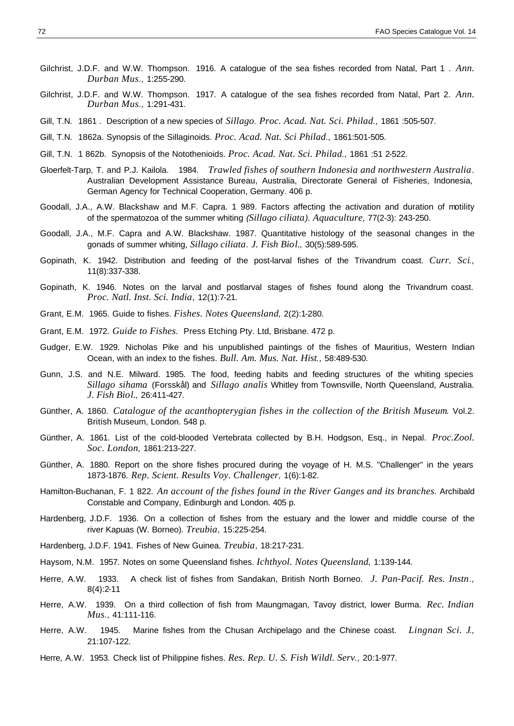- Gilchrist, J.D.F. and W.W. Thompson. 1916. A catalogue of the sea fishes recorded from Natal, Part 1 . *Ann. Durban Mus.,* 1:255-290.
- Gilchrist, J.D.F. and W.W. Thompson. 1917. A catalogue of the sea fishes recorded from Natal, Part 2. *Ann. Durban Mus.,* 1:291-431.
- Gill, T.N. 1861 . Description of a new species of *Sillago. Proc. Acad. Nat. Sci. Philad.,* 1861 :505-507.
- Gill, T.N. 1862a. Synopsis of the Sillaginoids. *Proc. Acad. Nat. Sci Philad.,* 1861:501-505.
- Gill, T.N. 1 862b. Synopsis of the Notothenioids. *Proc. Acad. Nat. Sci. Philad.,* 1861 :51 2-522.
- Gloerfelt-Tarp, T. and P.J. Kailola. 1984. *Trawled fishes of southern Indonesia and northwestern Australia.*  Australian Development Assistance Bureau, Australia, Directorate General of Fisheries, Indonesia, German Agency for Technical Cooperation, Germany. 406 p.
- Goodall, J.A., A.W. Blackshaw and M.F. Capra. 1 989. Factors affecting the activation and duration of motility of the spermatozoa of the summer whiting *(Sillago ciliata). Aquaculture,* 77(2-3): 243-250.
- Goodall, J.A., M.F. Capra and A.W. Blackshaw. 1987. Quantitative histology of the seasonal changes in the gonads of summer whiting, *Sillago ciliata. J. Fish Biol.,* 30(5):589-595.
- Gopinath, K. 1942. Distribution and feeding of the post-larval fishes of the Trivandrum coast. *Curr. Sci.,*  11(8):337-338.
- Gopinath, K. 1946. Notes on the larval and postlarval stages of fishes found along the Trivandrum coast. *Proc. Natl. Inst. Sci. India,* 12(1):7-21.
- Grant, E.M. 1965. Guide to fishes. *Fishes. Notes Queensland,* 2(2):1-280.
- Grant, E.M. 1972. *Guide to Fishes.* Press Etching Pty. Ltd, Brisbane. 472 p.
- Gudger, E.W. 1929. Nicholas Pike and his unpublished paintings of the fishes of Mauritius, Western Indian Ocean, with an index to the fishes. *Bull. Am. Mus. Nat. Hist.,* 58:489-530.
- Gunn, J.S. and N.E. Milward. 1985. The food, feeding habits and feeding structures of the whiting species *Sillago sihama* (Forsskål) and *Sillago analis* Whitley from Townsville, North Queensland, Australia. *J. Fish Biol.,* 26:411-427.
- Günther, A. 1860. *Catalogue of the acanthopterygian fishes in the collection of the British Museum.* Vol.2. British Museum, London. 548 p.
- Günther, A. 1861. List of the cold-blooded Vertebrata collected by B.H. Hodgson, Esq., in Nepal. *Proc.Zool. Soc. London,* 1861:213-227.
- Günther, A. 1880. Report on the shore fishes procured during the voyage of H. M.S. "Challenger" in the years 1873-1876. *Rep. Scient. Results Voy. Challenger,* 1(6):1-82.
- Hamilton-Buchanan, F. 1 822. *An account of the fishes found in the River Ganges and its branches.* Archibald Constable and Company, Edinburgh and London. 405 p.
- Hardenberg, J.D.F. 1936. On a collection of fishes from the estuary and the lower and middle course of the river Kapuas (W. Borneo). *Treubia,* 15:225-254.
- Hardenberg, J.D.F. 1941. Fishes of New Guinea. *Treubia,* 18:217-231.
- Haysom, N.M. 1957. Notes on some Queensland fishes. *Ichthyol. Notes Queensland,* 1:139-144.
- Herre, A.W. 1933. A check list of fishes from Sandakan, British North Borneo. *J. Pan-Pacif. Res. Instn.,* 8(4):2-11
- Herre, A.W. 1939. On a third collection of fish from Maungmagan, Tavoy district, lower Burma. *Rec. Indian Mus.,* 41:111-116.
- Herre, A.W. 1945. Marine fishes from the Chusan Archipelago and the Chinese coast. *Lingnan Sci. J.,*  21:107-122.
- Herre, A.W. 1953. Check list of Philippine fishes. *Res. Rep. U. S. Fish Wildl. Serv.,* 20:1-977.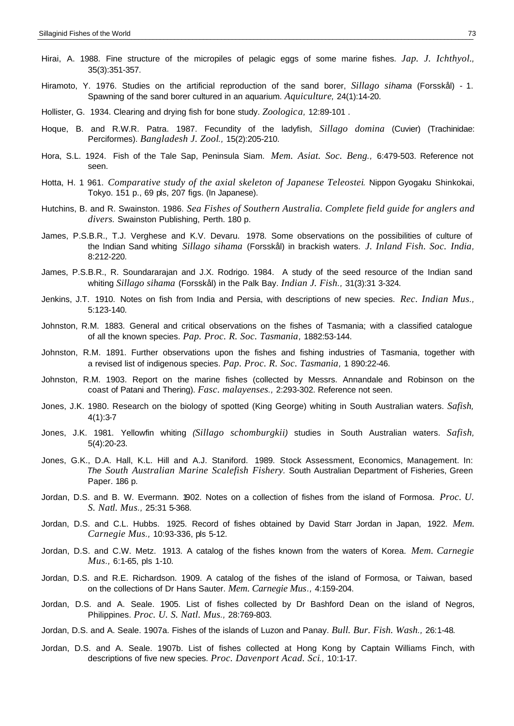- Hirai, A. 1988. Fine structure of the micropiles of pelagic eggs of some marine fishes. *Jap. J. Ichthyol.,*  35(3):351-357.
- Hiramoto, Y. 1976. Studies on the artificial reproduction of the sand borer, *Sillago sihama* (Forsskål) 1. Spawning of the sand borer cultured in an aquarium. *Aquiculture,* 24(1):14-20.
- Hollister, G. 1934. Clearing and drying fish for bone study. *Zoologica,* 12:89-101 .
- Hoque, B. and R.W.R. Patra. 1987. Fecundity of the ladyfish, *Sillago domina* (Cuvier) (Trachinidae: Perciformes). *Bangladesh J. Zool.,* 15(2):205-210.
- Hora, S.L. 1924. Fish of the Tale Sap, Peninsula Siam. *Mem. Asiat. Soc. Beng.,* 6:479-503. Reference not seen.
- Hotta, H. 1 961. *Comparative study of the axial skeleton of Japanese Teleostei.* Nippon Gyogaku Shinkokai, Tokyo. 151 p., 69 pls, 207 figs. (In Japanese).
- Hutchins, B. and R. Swainston. 1986. *Sea Fishes of Southern Australia. Complete field guide for anglers and divers.* Swainston Publishing, Perth. 180 p.
- James, P.S.B.R., T.J. Verghese and K.V. Devaru. 1978. Some observations on the possibilities of culture of the Indian Sand whiting *Sillago sihama* (Forsskål) in brackish waters. *J. Inland Fish. Soc. India,*  8:212-220.
- James, P.S.B.R., R. Soundararajan and J.X. Rodrigo. 1984. A study of the seed resource of the Indian sand whiting *Sillago sihama* (Forsskål) in the Palk Bay. *Indian J. Fish.,* 31(3):31 3-324.
- Jenkins, J.T. 1910. Notes on fish from India and Persia, with descriptions of new species. *Rec. Indian Mus.,*  5:123-140.
- Johnston, R.M. 1883. General and critical observations on the fishes of Tasmania; with a classified catalogue of all the known species. *Pap. Proc. R. Soc. Tasmania,* 1882:53-144.
- Johnston, R.M. 1891. Further observations upon the fishes and fishing industries of Tasmania, together with a revised list of indigenous species. *Pap. Proc. R. Soc. Tasmania,* 1 890:22-46.
- Johnston, R.M. 1903. Report on the marine fishes (collected by Messrs. Annandale and Robinson on the coast of Patani and Thering). *Fasc*. *malayenses.,* 2:293-302. Reference not seen.
- Jones, J.K. 1980. Research on the biology of spotted (King George) whiting in South Australian waters. *Safish,*  4(1):3-7
- Jones, J.K. 1981. Yellowfin whiting *(Sillago schomburgkii)* studies in South Australian waters. *Safish,*  5(4):20-23.
- Jones, G.K., D.A. Hall, K.L. Hill and A.J. Staniford. 1989. Stock Assessment, Economics, Management. In: *The South Australian Marine Scalefish Fishery.* South Australian Department of Fisheries, Green Paper. 186 p.
- Jordan, D.S. and B. W. Evermann. 1902. Notes on a collection of fishes from the island of Formosa. *Proc. U. S. Natl. Mus.,* 25:31 5-368.
- Jordan, D.S. and C.L. Hubbs. 1925. Record of fishes obtained by David Starr Jordan in Japan, 1922. *Mem. Carnegie Mus.,* 10:93-336, pls 5-12.
- Jordan, D.S. and C.W. Metz. 1913. A catalog of the fishes known from the waters of Korea. *Mem. Carnegie Mus.,* 6:1-65, pls 1-10.
- Jordan, D.S. and R.E. Richardson. 1909. A catalog of the fishes of the island of Formosa, or Taiwan, based on the collections of Dr Hans Sauter. *Mem. Carnegie Mus.,* 4:159-204.
- Jordan, D.S. and A. Seale. 1905. List of fishes collected by Dr Bashford Dean on the island of Negros, Philippines. *Proc. U. S. Natl. Mus.,* 28:769-803.
- Jordan, D.S. and A. Seale. 1907a. Fishes of the islands of Luzon and Panay. *Bull. Bur. Fish. Wash.,* 26:1-48*.*
- Jordan, D.S. and A. Seale. 1907b. List of fishes collected at Hong Kong by Captain Williams Finch, with descriptions of five new species. *Proc. Davenport Acad. Sci.,* 10:1-17.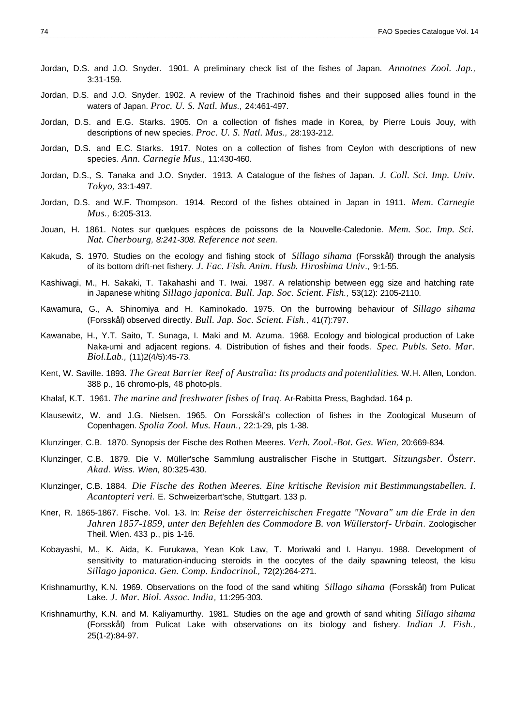- Jordan, D.S. and J.O. Snyder. 1901. A preliminary check list of the fishes of Japan. *Annotnes Zool. Jap.,*  3:31-159.
- Jordan, D.S. and J.O. Snyder. 1902. A review of the Trachinoid fishes and their supposed allies found in the waters of Japan. *Proc. U. S. Natl. Mus.,* 24:461-497.
- Jordan, D.S. and E.G. Starks. 1905. On a collection of fishes made in Korea, by Pierre Louis Jouy, with descriptions of new species. *Proc. U. S. Natl. Mus.,* 28:193-212.
- Jordan, D.S. and E.C. Starks. 1917. Notes on a collection of fishes from Ceylon with descriptions of new species. *Ann. Carnegie Mus.,* 11:430-460.
- Jordan, D.S., S. Tanaka and J.O. Snyder. 1913. A Catalogue of the fishes of Japan. *J. Coll. Sci. Imp. Univ. Tokyo,* 33:1-497.
- Jordan, D.S. and W.F. Thompson. 1914. Record of the fishes obtained in Japan in 1911. *Mem. Carnegie Mus.,* 6:205-313.
- Jouan, H. 1861. Notes sur quelques espèces de poissons de la Nouvelle-Caledonie. *Mem. Soc. Imp. Sci. Nat. Cherbourg, 8:241-308. Reference not seen.*
- Kakuda, S. 1970. Studies on the ecology and fishing stock of *Sillago sihama* (Forsskål) through the analysis of its bottom drift-net fishery. *J. Fac. Fish. Anim. Husb. Hiroshima Univ.,* 9:1-55.
- Kashiwagi, M., H. Sakaki, T. Takahashi and T. Iwai. 1987. A relationship between egg size and hatching rate in Japanese whiting *Sillago japonica. Bull. Jap. Soc. Scient. Fish.,* 53(12): 2105-2110.
- Kawamura, G., A. Shinomiya and H. Kaminokado. 1975. On the burrowing behaviour of *Sillago sihama* (Forsskål) observed directly. *Bull. Jap. Soc. Scient. Fish.,* 41(7):797.
- Kawanabe, H., Y.T. Saito, T. Sunaga, I. Maki and M. Azuma. 1968. Ecology and biological production of Lake Naka-umi and adjacent regions. 4. Distribution of fishes and their foods. *Spec. Publs. Seto. Mar. Biol.Lab.,* (11)2(4/5):45-73.
- Kent, W. Saville. 1893. *The Great Barrier Reef of Australia: Its products and potentialities.* W.H. Allen, London. 388 p., 16 chromo-pls, 48 photo-pls.
- Khalaf, K.T. 1961. *The marine and freshwater fishes of Iraq.* Ar-Rabitta Press, Baghdad. 164 p.
- Klausewitz, W. and J.G. Nielsen. 1965. On Forsskål's collection of fishes in the Zoological Museum of Copenhagen. *Spolia Zool. Mus. Haun.,* 22:1-29, pls 1-38.
- Klunzinger, C.B. 1870. Synopsis der Fische des Rothen Meeres. *Verh. Zool.-Bot. Ges. Wien,* 20:669-834.
- Klunzinger, C.B. 1879. Die V. Müller'sche Sammlung australischer Fische in Stuttgart. *Sitzungsber. Österr. Akad. Wiss. Wien,* 80:325-430.
- Klunzinger, C.B. 1884. *Die Fische des Rothen Meeres. Eine kritische Revision mit Bestimmungstabellen. I. Acantopteri veri.* E*.* Schweizerbart'sche, Stuttgart. 133 p.
- Kner, R. 1865-1867. Fische. Vol. 1-3. In: *Reise der österreichischen Fregatte "Novara" um die Erde in den Jahren 1857-1859, unter den Befehlen des Commodore B. von Wüllerstorf- Urbain.* Zoologischer Theil. Wien. 433 p., pis 1-16.
- Kobayashi, M., K. Aida, K. Furukawa, Yean Kok Law, T. Moriwaki and I. Hanyu. 1988. Development of sensitivity to maturation-inducing steroids in the oocytes of the daily spawning teleost, the kisu *Sillago japonica. Gen. Comp. Endocrinol.,* 72(2):264-271.
- Krishnamurthy, K.N. 1969. Observations on the food of the sand whiting *Sillago sihama* (Forsskål) from Pulicat Lake. *J. Mar. Biol. Assoc. India,* 11:295-303.
- Krishnamurthy, K.N. and M. Kaliyamurthy. 1981. Studies on the age and growth of sand whiting *Sillago sihama* (Forsskål) from Pulicat Lake with observations on its biology and fishery. *Indian J. Fish.,*  25(1-2):84-97.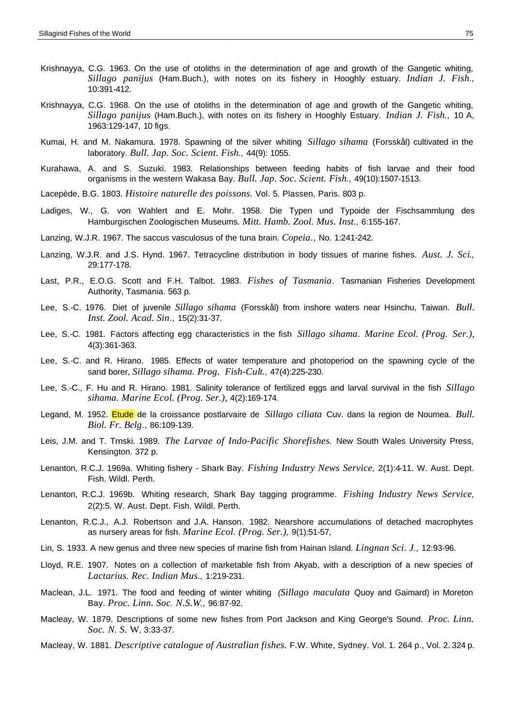- Krishnayya, C.G. 1963. On the use of otoliths in the determination of age and growth of the Gangetic whiting, *Sillago panijus* (Ham.Buch.), with notes on its fishery in Hooghly estuary. *Indian J. Fish.,*  10:391-412.
- Krishnayya, C.G. 1968. On the use of otoliths in the determination of age and growth of the Gangetic whiting, *Sillago panijus* (Ham.Buch.), with notes on its fishery in Hooghly Estuary. *Indian J. Fish.,* 10 A, 1963:129-147, 10 figs.
- Kumai, H. and M. Nakamura. 1978. Spawning of the silver whiting *Sillago sihama* (Forsskål) cultivated in the laboratory. *Bull. Jap. Soc. Scient. Fish.,* 44(9): 1055.
- Kurahawa, A. and S. Suzuki. 1983. Relationships between feeding habits of fish larvae and their food organisms in the western Wakasa Bay. *Bull. Jap. Soc. Scient. Fish.,* 49(10):1507-1513.
- Lacepède, B.G. 1803. *Histoire naturelle des poissons.* Vol. 5. Plassen, Paris. 803 p.
- Ladiges, W., G. von Wahlert and E. Mohr. 1958. Die Typen und Typoide der Fischsammlung des Hamburgischen Zoologischen Museums. *Mitt. Hamb. Zool. Mus. Inst.,* 6:155-167.
- Lanzing, W.J.R. 1967. The saccus vasculosus of the tuna brain. *Copeia.,* No. 1:241-242.
- Lanzing, W.J.R. and J.S. Hynd. 1967. Tetracycline distribution in body tissues of marine fishes. *Aust. J. Sci.,*  29:177-178.
- Last, P.R., E.O.G. Scott and F.H. Talbot. 1983. *Fishes of Tasmania.* Tasmanian Fisheries Development Authority, Tasmania. 563 p.
- Lee, S.-C. 1976. Diet of juvenile *Sillago sihama* (Forsskål) from inshore waters near Hsinchu, Taiwan. *Bull. Inst. Zool. Acad. Sin.,* 15(2):31-37.
- Lee, S.-C. 1981. Factors affecting egg characteristics in the fish *Sillago sihama. Marine Ecol. (Prog. Ser.),* 4(3):361-363.
- Lee, S.-C. and R. Hirano. 1985. Effects of water temperature and photoperiod on the spawning cycle of the sand borer, *Sillago sihama. Prog. Fish-Cult.,* 47(4):225-230.
- Lee, S.-C., F. Hu and R. Hirano. 1981. Salinity tolerance of fertilized eggs and larval survival in the fish *Sillago sihama. Marine Ecol. (Prog. Ser.),* 4(2):169-174.
- Legand, M. 1952. (Etude) de la croissance postlarvaire de *Sillago ciliata* Cuv. dans la region de Noumea. *Bull. Biol. Fr. Belg.,* 86:109-139.
- Leis, J.M. and T. Trnski. 1989. *The Larvae of Indo-Pacific Shorefishes.* New South Wales University Press, Kensington. 372 p.
- Lenanton, R.C.J. 1969a. Whiting fishery Shark Bay. *Fishing Industry News Service,* 2(1):4-11. W. Aust. Dept. Fish. Wildl. Perth.
- Lenanton, R.C.J. 1969b. Whiting research, Shark Bay tagging programme. *Fishing Industry News Service,*  2(2):5. W. Aust. Dept. Fish. Wildl. Perth.
- Lenanton, R.C.J., A.J. Robertson and J.A. Hanson. 1982. Nearshore accumulations of detached macrophytes as nursery areas for fish. *Marine Ecol. (Prog. Ser.),* 9(1):51-57,
- Lin, S. 1933. A new genus and three new species of marine fish from Hainan Island. *Lingnan Sci. J.,* 12:93-96.
- Lloyd, R.E. 1907. Notes on a collection of marketable fish from Akyab, with a description of a new species of *Lactarius. Rec. Indian Mus.,* 1:219-231.
- Maclean, J.L. 1971. The food and feeding of winter whiting *(Sillago maculata* Quoy and Gaimard) in Moreton Bay. *Proc. Linn. Soc. N.S.W.,* 96:87-92.
- Macleay, W. 1879. Descriptions of some new fishes from Port Jackson and King George's Sound. *Proc. Linn. Soc. N. S.* W, 3:33-37.
- Macleay, W. 1881. *Descriptive catalogue of Australian fishes.* F.W. White, Sydney. Vol. 1. 264 p., Vol. 2. 324 p.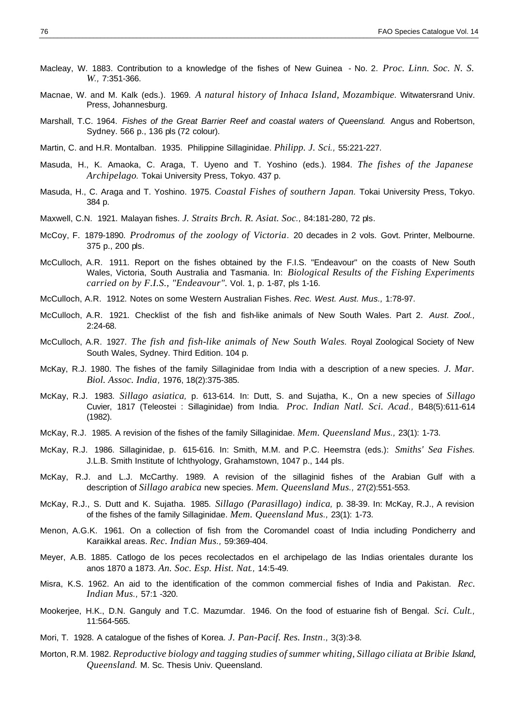- Macleay, W. 1883. Contribution to a knowledge of the fishes of New Guinea No. 2. *Proc. Linn. Soc. N. S. W.,* 7:351-366.
- Macnae, W. and M. Kalk (eds.). 1969. *A natural history of Inhaca Island, Mozambique.* Witwatersrand Univ. Press, Johannesburg.
- Marshall, T.C. 1964. *Fishes of the Great Barrier Reef and coastal waters of Queensland.* Angus and Robertson, Sydney. 566 p., 136 pls (72 colour).
- Martin, C. and H.R. Montalban. 1935. Philippine Sillaginidae. *Philipp. J. Sci.,* 55:221-227.
- Masuda, H., K. Amaoka, C. Araga, T. Uyeno and T. Yoshino (eds.). 1984. *The fishes of the Japanese Archipelago.* Tokai University Press, Tokyo. 437 p.
- Masuda, H., C. Araga and T. Yoshino. 1975. *Coastal Fishes of southern Japan.* Tokai University Press, Tokyo. 384 p.
- Maxwell, C.N. 1921. Malayan fishes. *J. Straits Brch. R. Asiat. Soc.,* 84:181-280, 72 pls.
- McCoy, F. 1879-1890. *Prodromus of the zoology of Victoria.* 20 decades in 2 vols. Govt. Printer, Melbourne. 375 p., 200 pls.
- McCulloch, A.R. 1911. Report on the fishes obtained by the F.I.S. "Endeavour" on the coasts of New South Wales, Victoria, South Australia and Tasmania. In: *Biological Results of the Fishing Experiments carried on by F.I.S., "Endeavour".* Vol. 1, p. 1-87, pls 1-16.
- McCulloch, A.R. 1912. Notes on some Western Australian Fishes. *Rec. West. Aust. Mus.,* 1:78-97.
- McCulloch, A.R. 1921. Checklist of the fish and fish-like animals of New South Wales. Part 2. *Aust. Zool.,*  2:24-68.
- McCulloch, A.R. 1927. *The fish and fish-like animals of New South Wales.* Royal Zoological Society of New South Wales, Sydney. Third Edition. 104 p.
- McKay, R.J. 1980. The fishes of the family Sillaginidae from India with a description of a new species. *J. Mar. Biol. Assoc. India,* 1976, 18(2):375-385.
- McKay, R.J. 1983. *Sillago asiatica,* p. 613-614. In: Dutt, S. and Sujatha, K., On a new species of *Sillago* Cuvier, 1817 (Teleostei : Sillaginidae) from India. *Proc. Indian Natl. Sci. Acad.,* B48(5):611-614 (1982).
- McKay, R.J. 1985. A revision of the fishes of the family Sillaginidae. *Mem. Queensland Mus.,* 23(1): 1-73.
- McKay, R.J. 1986. Sillaginidae, p. 615-616. In: Smith, M.M. and P.C. Heemstra (eds.): *Smiths' Sea Fishes.*  J.L.B. Smith Institute of Ichthyology, Grahamstown, 1047 p., 144 pls.
- McKay, R.J. and L.J. McCarthy. 1989. A revision of the sillaginid fishes of the Arabian Gulf with a description of *Sillago arabica* new species. *Mem. Queensland Mus.,* 27(2):551-553.
- McKay, R.J., S. Dutt and K. Sujatha. 1985. *Sillago (Parasillago) indica,* p. 38-39. In: McKay, R.J., A revision of the fishes of the family Sillaginidae. *Mem. Queensland Mus.,* 23(1): 1-73.
- Menon, A.G.K. 1961. On a collection of fish from the Coromandel coast of India including Pondicherry and Karaikkal areas. *Rec. Indian Mus.,* 59:369-404.
- Meyer, A.B. 1885. Catlogo de los peces recolectados en el archipelago de las Indias orientales durante los anos 1870 a 1873. *An. Soc. Esp. Hist. Nat.,* 14:5-49.
- Misra, K.S. 1962. An aid to the identification of the common commercial fishes of India and Pakistan. *Rec. Indian Mus.,* 57:1 -320.
- Mookerjee, H.K., D.N. Ganguly and T.C. Mazumdar. 1946. On the food of estuarine fish of Bengal. *Sci. Cult.,*  11:564-565.
- Mori, T. 1928. A catalogue of the fishes of Korea. *J. Pan-Pacif. Res. Instn.,* 3(3):3-8.
- Morton, R.M. 1982. *Reproductive biology and tagging studies of summer whiting, Sillago ciliata at Bribie Island, Queensland.* M. Sc. Thesis Univ. Queensland.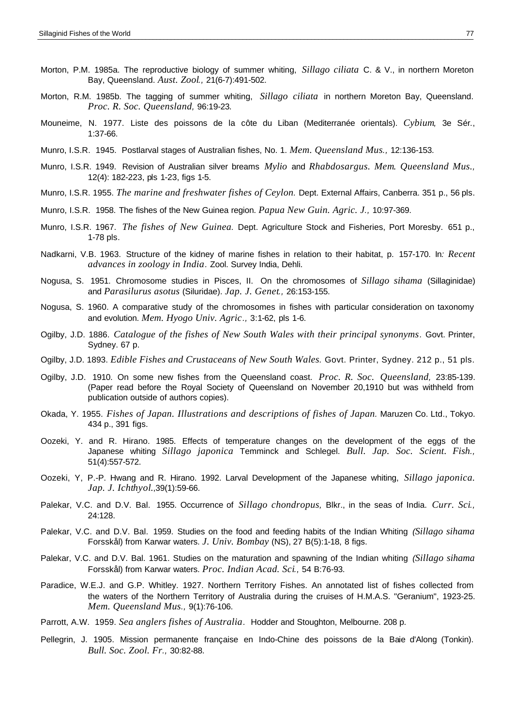- Morton, P.M. 1985a. The reproductive biology of summer whiting, *Sillago ciliata* C. & V., in northern Moreton Bay, Queensland. *Aust. Zool.,* 21(6-7):491-502.
- Morton, R.M. 1985b. The tagging of summer whiting, *Sillago ciliata* in northern Moreton Bay, Queensland. *Proc. R. Soc. Queensland,* 96:19-23.
- Mouneime, N. 1977. Liste des poissons de la côte du Liban (Mediterranée orientals). *Cybium,* 3e Sér., 1:37-66.
- Munro, I.S.R. 1945. Postlarval stages of Australian fishes, No. 1. *Mem. Queensland Mus.,* 12:136-153.
- Munro, I.S.R. 1949. Revision of Australian silver breams *Mylio* and *Rhabdosargus. Mem. Queensland Mus.,*  12(4): 182-223, pls 1-23, figs 1-5.
- Munro, I.S.R. 1955. *The marine and freshwater fishes of Ceylon.* Dept. External Affairs, Canberra. 351 p., 56 pls.
- Munro, I.S.R. 1958. The fishes of the New Guinea region. *Papua New Guin. Agric. J.,* 10:97-369.
- Munro, I.S.R. 1967. *The fishes of New Guinea.* Dept. Agriculture Stock and Fisheries, Port Moresby. 651 p., 1-78 pls.
- Nadkarni, V.B. 1963. Structure of the kidney of marine fishes in relation to their habitat, p. 157-170. In*: Recent advances in zoology in India.* Zool. Survey India, Dehli.
- Nogusa, S. 1951. Chromosome studies in Pisces, II. On the chromosomes of *Sillago sihama* (Sillaginidae) and *Parasilurus asotus* (Siluridae). *Jap. J. Genet.,* 26:153-155.
- Nogusa, S. 1960. A comparative study of the chromosomes in fishes with particular consideration on taxonomy and evolution. *Mem. Hyogo Univ. Agric.,* 3:1-62, pls 1-6.
- Ogilby, J.D. 1886. *Catalogue of the fishes of New South Wales with their principal synonyms.* Govt. Printer, Sydney. 67 p.
- Ogilby, J.D. 1893. *Edible Fishes and Crustaceans of New South Wales.* Govt. Printer, Sydney. 212 p., 51 pls.
- Ogilby, J.D. 1910. On some new fishes from the Queensland coast. *Proc. R. Soc. Queensland,* 23:85-139. (Paper read before the Royal Society of Queensland on November 20,1910 but was withheld from publication outside of authors copies).
- Okada, Y. 1955. *Fishes of Japan. Illustrations and descriptions of fishes of Japan.* Maruzen Co. Ltd., Tokyo. 434 p., 391 figs.
- Oozeki, Y. and R. Hirano. 1985. Effects of temperature changes on the development of the eggs of the Japanese whiting *Sillago japonica* Temminck and Schlegel. *Bull. Jap. Soc. Scient. Fish.,*  51(4):557-572.
- Oozeki, Y, P.-P. Hwang and R. Hirano. 1992. Larval Development of the Japanese whiting, *Sillago japonica. Jap. J. Ichthyol*.,39(1):59-66.
- Palekar, V.C. and D.V. Bal. 1955. Occurrence of *Sillago chondropus,* Blkr., in the seas of India. *Curr. Sci.,*  24:128.
- Palekar, V.C. and D.V. Bal. 1959. Studies on the food and feeding habits of the Indian Whiting *(Sillago sihama* Forsskål) from Karwar waters. *J. Univ. Bombay* (NS), 27 B(5):1-18, 8 figs.
- Palekar, V.C. and D.V. Bal. 1961. Studies on the maturation and spawning of the Indian whiting *(Sillago sihama* Forsskål) from Karwar waters. *Proc. Indian Acad. Sci.,* 54 B:76-93.
- Paradice, W.E.J. and G.P. Whitley. 1927. Northern Territory Fishes. An annotated list of fishes collected from the waters of the Northern Territory of Australia during the cruises of H.M.A.S. "Geranium", 1923-25. *Mem. Queensland Mus.,* 9(1):76-106.
- Parrott, A.W. 1959. *Sea anglers fishes of Australia.* Hodder and Stoughton, Melbourne. 208 p.
- Pellegrin, J. 1905. Mission permanente française en Indo-Chine des poissons de la Baie d'Along (Tonkin). *Bull. Soc. Zool. Fr.,* 30:82-88.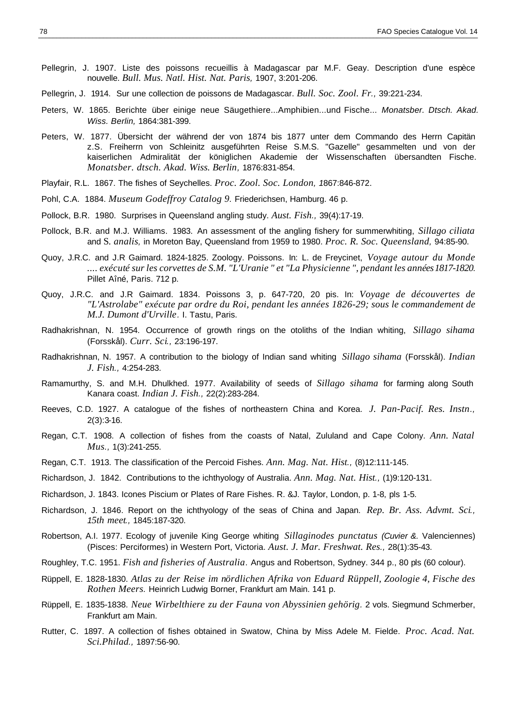- Pellegrin, J. 1907. Liste des poissons recueillis à Madagascar par M.F. Geay. Description d'une espèce nouvelle. *Bull. Mus. Natl. Hist. Nat. Paris,* 1907, 3:201-206.
- Pellegrin, J. 1914. Sur une collection de poissons de Madagascar. *Bull. Soc. Zool. Fr.,* 39:221-234.
- Peters, W. 1865. Berichte über einige neue Säugethiere...Amphibien...und Fische... *Monatsber. Dtsch. Akad. Wiss. Berlin,* 1864:381-399.
- Peters, W. 1877. Übersicht der während der von 1874 bis 1877 unter dem Commando des Herrn Capitän z.S. Freiherrn von Schleinitz ausgeführten Reise S.M.S. "Gazelle" gesammelten und von der kaiserlichen Admiralität der königlichen Akademie der Wissenschaften übersandten Fische. *Monatsber. dtsch. Akad. Wiss. Berlin,* 1876:831-854.
- Playfair, R.L. 1867. The fishes of Seychelles. *Proc. Zool. Soc. London, 1*867:846-872.
- Pohl, C.A. 1884. *Museum Godeffroy Catalog 9.* Friederichsen, Hamburg. 46 p.
- Pollock, B.R. 1980. Surprises in Queensland angling study. *Aust. Fish.,* 39(4):17-19.
- Pollock, B.R. and M.J. Williams. 1983. An assessment of the angling fishery for summerwhiting, *Sillago ciliata* and S. *analis,* in Moreton Bay, Queensland from 1959 to 1980. *Proc. R. Soc. Queensland,* 94:85-90.
- Quoy, J.R.C. and J.R Gaimard. 1824-1825. Zoology. Poissons. In: L. de Freycinet, *Voyage autour du Monde .... exécuté sur les corvettes de S.M. "L'Uranie " et "La Physicienne ", pendant les années 1817-1820.*  Pillet Aîné, Paris. 712 p.
- Quoy, J.R.C. and J.R Gaimard. 1834. Poissons 3, p. 647-720, 20 pis. In: *Voyage de découvertes de "L'Astrolabe" exécute par ordre du Roi, pendant les années 1826-29; sous le commandement de M.J. Dumont d'Urville.* I. Tastu, Paris.
- Radhakrishnan, N. 1954. Occurrence of growth rings on the otoliths of the Indian whiting, *Sillago sihama* (Forsskål). *Curr. Sci.,* 23:196-197.
- Radhakrishnan, N. 1957. A contribution to the biology of Indian sand whiting *Sillago sihama* (Forsskål). *Indian J. Fish.,* 4:254-283.
- Ramamurthy, S. and M.H. Dhulkhed. 1977. Availability of seeds of *Sillago sihama* for farming along South Kanara coast. *Indian J. Fish.,* 22(2):283-284.
- Reeves, C.D. 1927. A catalogue of the fishes of northeastern China and Korea. *J. Pan-Pacif. Res. Instn.,*  2(3):3-16.
- Regan, C.T. 1908. A collection of fishes from the coasts of Natal, Zululand and Cape Colony. *Ann. Natal Mus.,* 1(3):241-255.
- Regan, C.T. 1913. The classification of the Percoid Fishes. *Ann. Mag. Nat. Hist.,* (8)12:111-145.
- Richardson, J. 1842. Contributions to the ichthyology of Australia. *Ann. Mag. Nat. Hist.,* (1)9:120-131.
- Richardson, J. 1843. Icones Piscium or Plates of Rare Fishes. R. &J. Taylor, London, p. 1-8, pls 1-5.
- Richardson, J. 1846. Report on the ichthyology of the seas of China and Japan. *Rep. Br. Ass. Advmt. Sci., 15th meet.,* 1845:187-320.
- Robertson, A.I. 1977. Ecology of juvenile King George whiting *Sillaginodes punctatus (Cuvier &.* Valenciennes) (Pisces: Perciformes) in Western Port, Victoria. *Aust. J. Mar. Freshwat. Res.,* 28(1):35-43.
- Roughley, T.C. 1951. *Fish and fisheries of Australia.* Angus and Robertson, Sydney. 344 p., 80 pls (60 colour).
- Rüppell, E. 1828-1830. *Atlas zu der Reise im nördlichen Afrika von Eduard Rüppell, Zoologie 4, Fische des Rothen Meers.* Heinrich Ludwig Borner, Frankfurt am Main. 141 p.
- Rüppell, E. 1835-1838. *Neue Wirbelthiere zu der Fauna von Abyssinien gehörig.* 2 vols. Siegmund Schmerber, Frankfurt am Main.
- Rutter, C. 1897. A collection of fishes obtained in Swatow, China by Miss Adele M. Fielde. *Proc. Acad. Nat. Sci.Philad.,* 1897:56-90.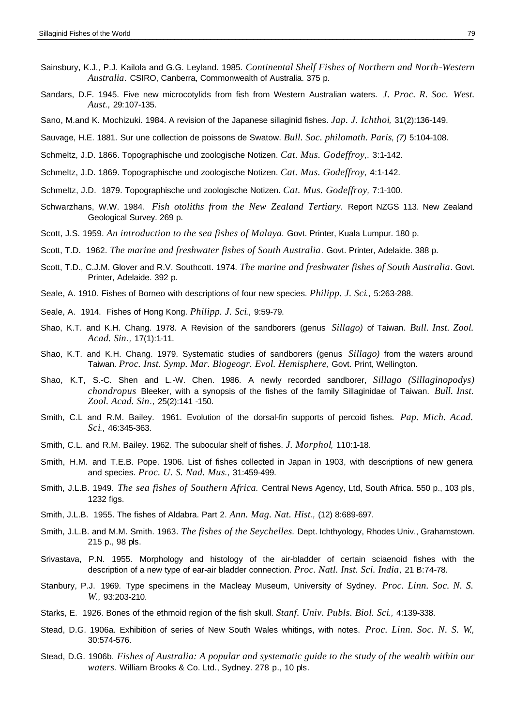- Sainsbury, K.J., P.J. Kailola and G.G. Leyland. 1985. *Continental Shelf Fishes of Northern and North-Western Australia.* CSIRO, Canberra, Commonwealth of Australia. 375 p.
- Sandars, D.F. 1945. Five new microcotylids from fish from Western Australian waters. *J. Proc. R. Soc. West. Aust.,* 29:107-135.
- Sano, M.and K. Mochizuki. 1984. A revision of the Japanese sillaginid fishes. *Jap. J. Ichthoi,* 31(2):136-149.
- Sauvage, H.E. 1881. Sur une collection de poissons de Swatow. *Bull. Soc. philomath. Paris, (7)* 5:104-108.
- Schmeltz, J.D. 1866. Topographische und zoologische Notizen. *Cat. Mus. Godeffroy,.* 3:1-142.
- Schmeltz, J.D. 1869. Topographische und zoologische Notizen. *Cat. Mus. Godeffroy,* 4:1-142.
- Schmeltz, J.D. 1879. Topographische und zoologische Notizen. *Cat. Mus. Godeffroy,* 7:1-100.
- Schwarzhans, W.W. 1984. *Fish otoliths from the New Zealand Tertiary.* Report NZGS 113. New Zealand Geological Survey. 269 p.
- Scott, J.S. 1959. *An introduction to the sea fishes of Malaya.* Govt. Printer, Kuala Lumpur. 180 p.
- Scott, T.D. 1962. *The marine and freshwater fishes of South Australia.* Govt. Printer, Adelaide. 388 p.
- Scott, T.D., C.J.M. Glover and R.V. Southcott. 1974. *The marine and freshwater fishes of South Australia.* Govt. Printer, Adelaide. 392 p.
- Seale, A. 1910. Fishes of Borneo with descriptions of four new species. *Philipp. J. Sci.,* 5:263-288.
- Seale, A. 1914. Fishes of Hong Kong. *Philipp. J. Sci.,* 9:59-79.
- Shao, K.T. and K.H. Chang. 1978. A Revision of the sandborers (genus *Sillago)* of Taiwan. *Bull. Inst. Zool. Acad. Sin.,* 17(1):1-11.
- Shao, K.T. and K.H. Chang. 1979. Systematic studies of sandborers (genus *Sillago)* from the waters around Taiwan. *Proc. Inst. Symp. Mar. Biogeogr. Evol. Hemisphere,* Govt. Print, Wellington.
- Shao, K.T, S.-C. Shen and L.-W. Chen. 1986. A newly recorded sandborer, *Sillago (Sillaginopodys) chondropus* Bleeker, with a synopsis of the fishes of the family Sillaginidae of Taiwan. *Bull. Inst. Zool. Acad. Sin.,* 25(2):141 -150.
- Smith, C.L and R.M. Bailey. 1961. Evolution of the dorsal-fin supports of percoid fishes. *Pap. Mich. Acad. Sci.,* 46:345-363.
- Smith, C.L. and R.M. Bailey. 1962. The subocular shelf of fishes. *J. Morphol,* 110:1-18.
- Smith, H.M. and T.E.B. Pope. 1906. List of fishes collected in Japan in 1903, with descriptions of new genera and species. *Proc. U. S. Nad. Mus.,* 31:459-499.
- Smith, J.L.B. 1949. *The sea fishes of Southern Africa.* Central News Agency, Ltd, South Africa. 550 p., 103 pls, 1232 figs.
- Smith, J.L.B. 1955. The fishes of Aldabra. Part 2. *Ann. Mag. Nat. Hist.,* (12) 8:689-697.
- Smith, J.L.B. and M.M. Smith. 1963. *The fishes of the Seychelles.* Dept. Ichthyology, Rhodes Univ., Grahamstown. 215 p., 98 pls.
- Srivastava, P.N. 1955. Morphology and histology of the air-bladder of certain sciaenoid fishes with the description of a new type of ear-air bladder connection. *Proc. Natl. Inst. Sci. India,* 21 B:74-78.
- Stanbury, P.J. 1969. Type specimens in the Macleay Museum, University of Sydney. *Proc. Linn. Soc. N. S. W.,* 93:203-210.
- Starks, E. 1926. Bones of the ethmoid region of the fish skull. *Stanf. Univ. Publs. Biol. Sci.,* 4:139-338.
- Stead, D.G. 1906a. Exhibition of series of New South Wales whitings, with notes. *Proc. Linn. Soc. N. S. W.,*  30:574-576.
- Stead, D.G. 1906b. *Fishes of Australia: A popular and systematic guide to the study of the wealth within our waters.* William Brooks & Co. Ltd., Sydney. 278 p., 10 pls.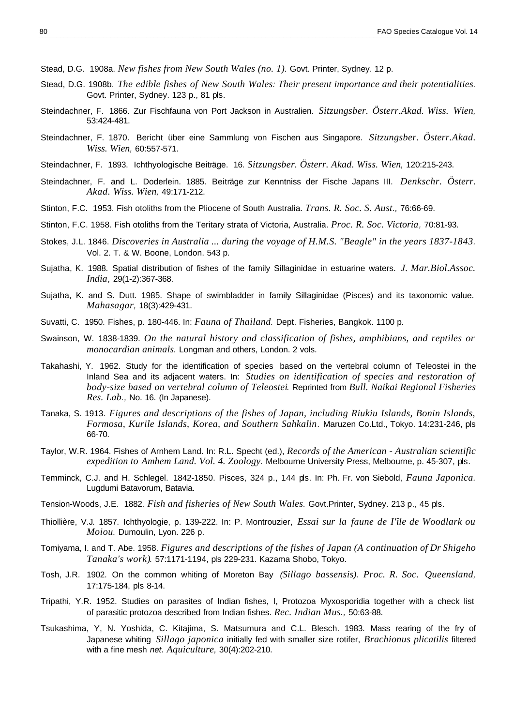- Stead, D.G. 1908a. *New fishes from New South Wales (no. 1).* Govt. Printer, Sydney. 12 p.
- Stead, D.G. 1908b. *The edible fishes of New South Wales: Their present importance and their potentialities.*  Govt. Printer, Sydney. 123 p., 81 pls.
- Steindachner, F. 1866. Zur Fischfauna von Port Jackson in Australien. *Sitzungsber. Österr.Akad. Wiss. Wien,*  53:424-481.
- Steindachner, F. 1870. Bericht über eine Sammlung von Fischen aus Singapore. *Sitzungsber. Österr.Akad. Wiss. Wien,* 60:557-571.
- Steindachner, F. 1893. Ichthyologische Beiträge. 16. *Sitzungsber. Österr. Akad. Wiss. Wien,* 120:215-243.
- Steindachner, F. and L. Doderlein. 1885. Beiträge zur Kenntniss der Fische Japans III. *Denkschr. Österr. Akad. Wiss. Wien,* 49:171-212.
- Stinton, F.C. 1953. Fish otoliths from the Pliocene of South Australia. *Trans. R. Soc. S. Aust.,* 76:66-69.
- Stinton, F.C. 1958. Fish otoliths from the Teritary strata of Victoria, Australia. *Proc. R. Soc. Victoria,* 70:81-93.
- Stokes, J.L. 1846. *Discoveries in Australia ... during the voyage of H.M.S. "Beagle" in the years 1837-1843.*  Vol. 2. T. & W. Boone, London. 543 p.
- Sujatha, K. 1988. Spatial distribution of fishes of the family Sillaginidae in estuarine waters. *J. Mar.Biol.Assoc. India,* 29(1-2):367-368.
- Sujatha, K. and S. Dutt. 1985. Shape of swimbladder in family Sillaginidae (Pisces) and its taxonomic value. *Mahasagar,* 18(3):429-431.
- Suvatti, C. 1950. Fishes, p. 180-446. In: *Fauna of Thailand.* Dept. Fisheries, Bangkok. 1100 p.
- Swainson, W. 1838-1839. *On the natural history and classification of fishes, amphibians, and reptiles or monocardian animals.* Longman and others, London. 2 vols.
- Takahashi, Y. 1962. Study for the identification of species based on the vertebral column of Teleostei in the Inland Sea and its adjacent waters. In: *Studies on identification of species and restoration of body-size based on vertebral column of Teleostei.* Reprinted from *Bull. Naikai Regional Fisheries Res. Lab.,* No. 16. (In Japanese).
- Tanaka, S. 1913. *Figures and descriptions of the fishes of Japan, including Riukiu Islands, Bonin Islands, Formosa, Kurile Islands, Korea, and Southern Sahkalin.* Maruzen Co.Ltd., Tokyo. 14:231-246, pls 66-70.
- Taylor, W.R. 1964. Fishes of Arnhem Land. In: R.L. Specht (ed.), *Records of the American Australian scientific expedition to Amhem Land. Vol. 4. Zoology.* Melbourne University Press, Melbourne, p. 45-307, pls.
- Temminck, C.J. and H. Schlegel. 1842-1850. Pisces, 324 p., 144 pls. In: Ph. Fr. von Siebold, *Fauna Japonica.*  Lugdumi Batavorum, Batavia.
- Tension-Woods, J.E. 1882. *Fish and fisheries of New South Wales.* Govt.Printer, Sydney. 213 p., 45 pls.
- Thiollière, V.J. 1857. Ichthyologie, p. 139-222. In: P. Montrouzier, *Essai sur la faune de I'île de Woodlark ou Moiou.* Dumoulin, Lyon. 226 p.
- Tomiyama, I. and T. Abe. 1958. *Figures and descriptions of the fishes of Japan (A continuation of Dr Shigeho Tanaka's work).* 57:1171-1194, pls 229-231. Kazama Shobo, Tokyo.
- Tosh, J.R. 1902. On the common whiting of Moreton Bay *(Sillago bassensis). Proc. R. Soc. Queensland,*  17:175-184, pls 8-14.
- Tripathi, Y.R. 1952. Studies on parasites of Indian fishes, I, Protozoa Myxosporidia together with a check list of parasitic protozoa described from Indian fishes. *Rec. Indian Mus.,* 50:63-88.
- Tsukashima, Y, N. Yoshida, C. Kitajima, S. Matsumura and C.L. Blesch. 1983. Mass rearing of the fry of Japanese whiting *Sillago japonica* initially fed with smaller size rotifer, *Brachionus plicatilis* filtered with a fine mesh *net. Aquiculture,* 30(4):202-210.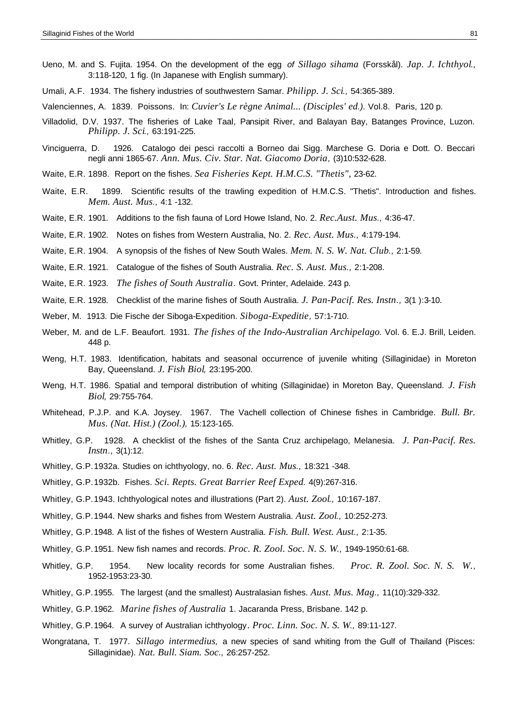- Ueno, M. and S. Fujita. 1954. On the development of the egg *of Sillago sihama* (Forsskål). *Jap. J. Ichthyol.,*  3:118-120, 1 fig. (In Japanese with English summary).
- Umali, A.F. 1934. The fishery industries of southwestern Samar. *Philipp. J. Sci.,* 54:365-389.
- Valenciennes, A. 1839. Poissons. In: *Cuvier's Le règne Animal... (Disciples' ed.).* Vol.8. Paris, 120 p.
- Villadolid, D.V. 1937. The fisheries of Lake Taal, Pansipit River, and Balayan Bay, Batanges Province, Luzon. *Philipp. J. Sci.,* 63:191-225.
- Vinciguerra, D. 1926. Catalogo dei pesci raccolti a Borneo dai Sigg. Marchese G. Doria e Dott. O. Beccari negli anni 1865-67. *Ann. Mus. Civ. Star. Nat. Giacomo Doria,* (3)10:532-628.
- Waite, E.R. 1898. Report on the fishes. *Sea Fisheries Kept. H.M.C.S. "Thetis",* 23-62.
- Waite, E.R. 1899. Scientific results of the trawling expedition of H.M.C.S. "Thetis". Introduction and fishes. *Mem. Aust. Mus.,* 4:1 -132.
- Waite, E.R. 1901. Additions to the fish fauna of Lord Howe Island, No. 2. *Rec.Aust. Mus.,* 4:36-47.
- Waite, E.R. 1902. Notes on fishes from Western Australia, No. 2. *Rec. Aust. Mus.,* 4:179-194.
- Waite, E.R. 1904. A synopsis of the fishes of New South Wales. *Mem. N. S. W. Nat. Club.,* 2:1-59.
- Waite, E.R. 1921. Catalogue of the fishes of South Australia. *Rec. S. Aust. Mus.,* 2:1-208.
- Waite, E.R. 1923. *The fishes of South Australia.* Govt. Printer, Adelaide. 243 p.
- Waite, E.R. 1928. Checklist of the marine fishes of South Australia. *J. Pan-Pacif. Res. Instn.,* 3(1 ):3-10.
- Weber, M. 1913. Die Fische der Siboga-Expedition. *Siboga-Expeditie,* 57:1-710.
- Weber, M. and de L.F. Beaufort. 1931. *The fishes of the Indo-Australian Archipelago.* Vol. 6. E.J. Brill, Leiden. 448 p.
- Weng, H.T. 1983. Identification, habitats and seasonal occurrence of juvenile whiting (Sillaginidae) in Moreton Bay, Queensland. *J. Fish Biol,* 23:195-200.
- Weng, H.T. 1986. Spatial and temporal distribution of whiting (Sillaginidae) in Moreton Bay, Queensland. *J. Fish Biol,* 29:755-764.
- Whitehead, P.J.P. and K.A. Joysey. 1967. The Vachell collection of Chinese fishes in Cambridge. *Bull. Br. Mus. (Nat. Hist.) (Zool.),* 15:123-165.
- Whitley, G.P. 1928. A checklist of the fishes of the Santa Cruz archipelago, Melanesia. *J. Pan-Pacif. Res. Instn.,* 3(1):12.
- Whitley, G.P.1932a. Studies on ichthyology, no. 6. *Rec. Aust. Mus.,* 18:321 -348.
- Whitley, G.P.1932b. Fishes. *Sci. Repts. Great Barrier Reef Exped.* 4(9):267-316.
- Whitley, G.P.1943. Ichthyological notes and illustrations (Part 2). *Aust. Zool.,* 10:167-187.
- Whitley, G.P.1944. New sharks and fishes from Western Australia. *Aust. Zool.,* 10:252-273.
- Whitley, G.P.1948. A list of the fishes of Western Australia. *Fish. Bull. West. Aust.,* 2:1-35.
- Whitley, G.P.1951. New fish names and records. *Proc. R. Zool. Soc. N. S. W.,* 1949-1950:61-68.
- Whitley, G.P. 1954. New locality records for some Australian fishes. *Proc. R. Zool. Soc. N. S. W.,*  1952-1953:23-30.
- Whitley, G.P.1955. The largest (and the smallest) Australasian fishes. *Aust. Mus. Mag.,* 11(10):329-332.
- Whitley, G.P.1962. *Marine fishes of Australia* 1. Jacaranda Press, Brisbane. 142 p.
- Whitley, G.P.1964. A survey of Australian ichthyology. *Proc. Linn. Soc. N. S. W.,* 89:11-127.
- Wongratana, T. 1977. *Sillago intermedius,* a new species of sand whiting from the Gulf of Thailand (Pisces: Sillaginidae). *Nat. Bull. Siam. Soc.,* 26:257-252.